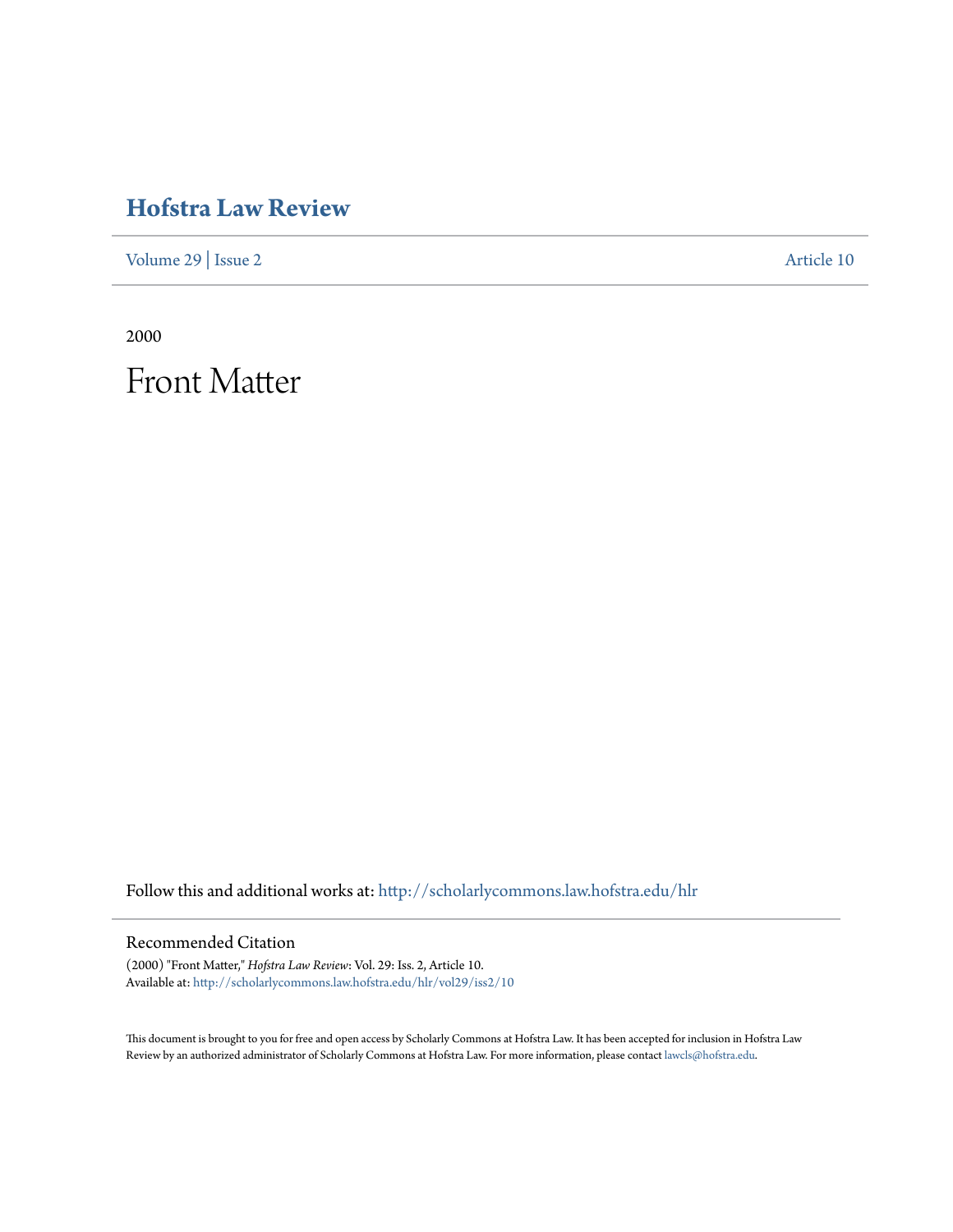# **[Hofstra Law Review](http://scholarlycommons.law.hofstra.edu/hlr?utm_source=scholarlycommons.law.hofstra.edu%2Fhlr%2Fvol29%2Fiss2%2F10&utm_medium=PDF&utm_campaign=PDFCoverPages)**

[Volume 29](http://scholarlycommons.law.hofstra.edu/hlr/vol29?utm_source=scholarlycommons.law.hofstra.edu%2Fhlr%2Fvol29%2Fiss2%2F10&utm_medium=PDF&utm_campaign=PDFCoverPages) | [Issue 2](http://scholarlycommons.law.hofstra.edu/hlr/vol29/iss2?utm_source=scholarlycommons.law.hofstra.edu%2Fhlr%2Fvol29%2Fiss2%2F10&utm_medium=PDF&utm_campaign=PDFCoverPages) [Article 10](http://scholarlycommons.law.hofstra.edu/hlr/vol29/iss2/10?utm_source=scholarlycommons.law.hofstra.edu%2Fhlr%2Fvol29%2Fiss2%2F10&utm_medium=PDF&utm_campaign=PDFCoverPages)

2000

Front Matter

Follow this and additional works at: [http://scholarlycommons.law.hofstra.edu/hlr](http://scholarlycommons.law.hofstra.edu/hlr?utm_source=scholarlycommons.law.hofstra.edu%2Fhlr%2Fvol29%2Fiss2%2F10&utm_medium=PDF&utm_campaign=PDFCoverPages)

## Recommended Citation

(2000) "Front Matter," *Hofstra Law Review*: Vol. 29: Iss. 2, Article 10. Available at: [http://scholarlycommons.law.hofstra.edu/hlr/vol29/iss2/10](http://scholarlycommons.law.hofstra.edu/hlr/vol29/iss2/10?utm_source=scholarlycommons.law.hofstra.edu%2Fhlr%2Fvol29%2Fiss2%2F10&utm_medium=PDF&utm_campaign=PDFCoverPages)

This document is brought to you for free and open access by Scholarly Commons at Hofstra Law. It has been accepted for inclusion in Hofstra Law Review by an authorized administrator of Scholarly Commons at Hofstra Law. For more information, please contact [lawcls@hofstra.edu](mailto:lawcls@hofstra.edu).